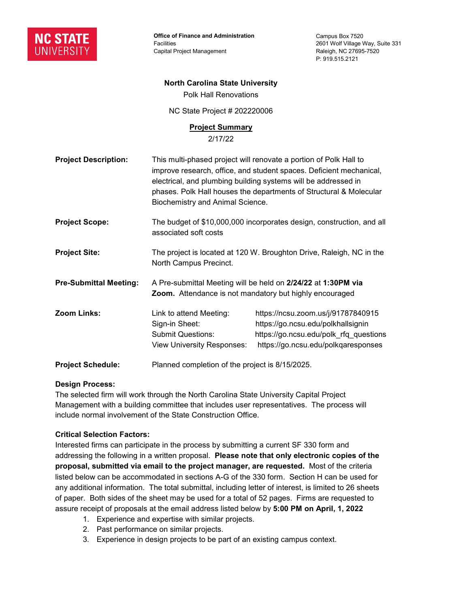

**Office of Finance and Administration Facilities** Capital Project Management

Campus Box 7520 2601 Wolf Village Way, Suite 331 Raleigh, NC 27695-7520 P: 919.515.2121

### **North Carolina State University**

Polk Hall Renovations

NC State Project # 202220006

#### **Project Summary**

2/17/22

| <b>Project Description:</b>   | This multi-phased project will renovate a portion of Polk Hall to<br>improve research, office, and student spaces. Deficient mechanical,<br>electrical, and plumbing building systems will be addressed in<br>phases. Polk Hall houses the departments of Structural & Molecular<br>Biochemistry and Animal Science. |                                                                                                                                                           |
|-------------------------------|----------------------------------------------------------------------------------------------------------------------------------------------------------------------------------------------------------------------------------------------------------------------------------------------------------------------|-----------------------------------------------------------------------------------------------------------------------------------------------------------|
| <b>Project Scope:</b>         | The budget of \$10,000,000 incorporates design, construction, and all<br>associated soft costs                                                                                                                                                                                                                       |                                                                                                                                                           |
| <b>Project Site:</b>          | The project is located at 120 W. Broughton Drive, Raleigh, NC in the<br>North Campus Precinct.                                                                                                                                                                                                                       |                                                                                                                                                           |
| <b>Pre-Submittal Meeting:</b> | A Pre-submittal Meeting will be held on 2/24/22 at 1:30PM via<br>Zoom. Attendance is not mandatory but highly encouraged                                                                                                                                                                                             |                                                                                                                                                           |
| Zoom Links:                   | Link to attend Meeting:<br>Sign-in Sheet:<br><b>Submit Questions:</b><br>View University Responses:                                                                                                                                                                                                                  | https://ncsu.zoom.us/j/91787840915<br>https://go.ncsu.edu/polkhallsignin<br>https://go.ncsu.edu/polk_rfq_questions<br>https://go.ncsu.edu/polkqaresponses |
| <b>Project Schedule:</b>      | Planned completion of the project is 8/15/2025.                                                                                                                                                                                                                                                                      |                                                                                                                                                           |

#### **Design Process:**

The selected firm will work through the North Carolina State University Capital Project Management with a building committee that includes user representatives. The process will include normal involvement of the State Construction Office.

## **Critical Selection Factors:**

Interested firms can participate in the process by submitting a current SF 330 form and addressing the following in a written proposal. **Please note that only electronic copies of the proposal, submitted via email to the project manager, are requested.** Most of the criteria listed below can be accommodated in sections A-G of the 330 form. Section H can be used for any additional information. The total submittal, including letter of interest, is limited to 26 sheets of paper. Both sides of the sheet may be used for a total of 52 pages. Firms are requested to assure receipt of proposals at the email address listed below by **5:00 PM on April, 1, 2022**

- 1. Experience and expertise with similar projects.
- 2. Past performance on similar projects.
- 3. Experience in design projects to be part of an existing campus context.